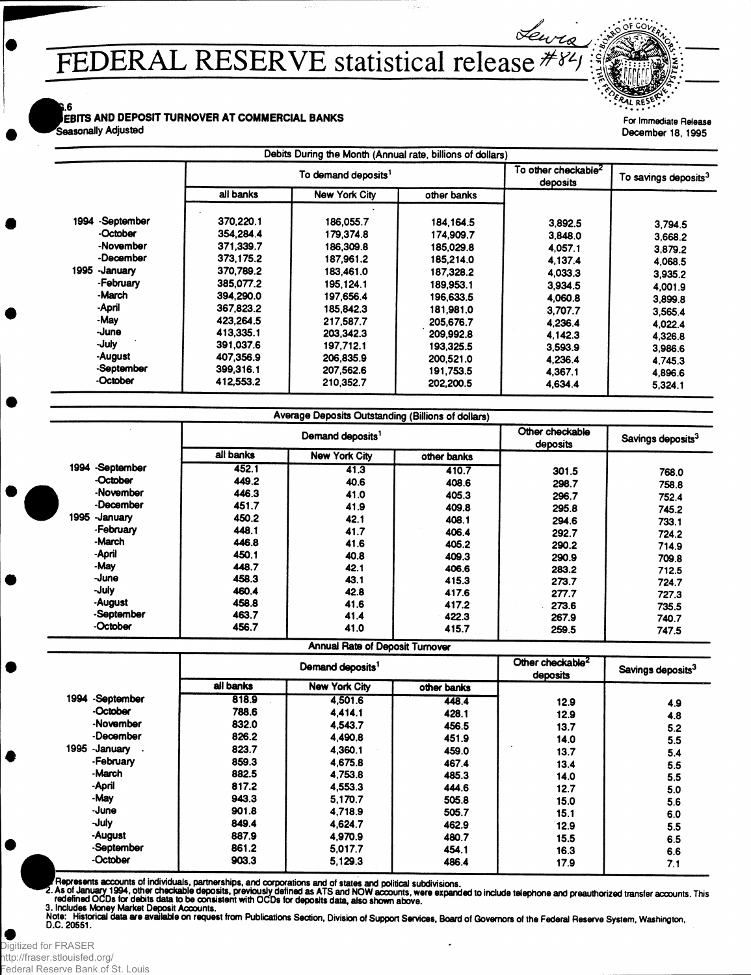## **FEDERAL RESERVE statistical release ;!**

**i.6** 

...<br>EBITS AND DEPOSIT TURNOVER AT COMMERCIAL BANKS **Seasonally** Adjusted

| $\mathcal{L}$ $\mathcal{L}$ $\mathcal{L}$ $\mathcal{L}$ $\mathcal{L}$ $\mathcal{L}$ $\mathcal{L}$ $\mathcal{L}$ $\mathcal{L}$ $\mathcal{L}$ $\mathcal{L}$ $\mathcal{L}$ $\mathcal{L}$ $\mathcal{L}$ $\mathcal{L}$ $\mathcal{L}$ $\mathcal{L}$ $\mathcal{L}$ $\mathcal{L}$ $\mathcal{L}$ $\mathcal{L}$ $\mathcal{L}$ $\mathcal{L}$ $\mathcal{L}$ $\mathcal{$ |  |  |
|-------------------------------------------------------------------------------------------------------------------------------------------------------------------------------------------------------------------------------------------------------------------------------------------------------------------------------------------------------------|--|--|
| For Immediate Release                                                                                                                                                                                                                                                                                                                                       |  |  |
|                                                                                                                                                                                                                                                                                                                                                             |  |  |

December 18,1995

|                    |           | To demand deposits <sup>1</sup> |             | To other checkable <sup>2</sup><br>deposits | To savings deposits <sup>3</sup> |
|--------------------|-----------|---------------------------------|-------------|---------------------------------------------|----------------------------------|
|                    | all banks | <b>New York City</b>            | other banks |                                             |                                  |
| -September<br>1994 | 370.220.1 | 186,055.7                       | 184, 164.5  | 3.892.5                                     | 3,794.5                          |
| -October           | 354,284.4 | 179.374.8                       | 174.909.7   | 3,848.0                                     | 3,668.2                          |
| -November          | 371.339.7 | 186,309.8                       | 185,029.8   | 4.057.1                                     | 3.879.2                          |
| -December          | 373,175.2 | 187,961.2                       | 185,214.0   | 4,137.4                                     | 4.068.5                          |
| 1995<br>-January   | 370,789.2 | 183,461.0                       | 187.328.2   | 4.033.3                                     | 3,935.2                          |
| -February          | 385,077.2 | 195,124.1                       | 189,953.1   | 3,934.5                                     | 4.001.9                          |
| -March             | 394.290.0 | 197.656.4                       | 196,633.5   | 4,060.8                                     | 3.899.8                          |
| -April             | 367,823.2 | 185,842.3                       | 181,981.0   | 3.707.7                                     | 3.565.4                          |
| -May               | 423.264.5 | 217.587.7                       | 205,676.7   | 4.236.4                                     | 4.022.4                          |
| -June              | 413,335.1 | 203.342.3                       | 209,992.8   | 4.142.3                                     | 4,326.8                          |
| -July              | 391.037.6 | 197.712.1                       | 193.325.5   | 3,593.9                                     | 3,986.6                          |
| -August            | 407,356.9 | 206,835.9                       | 200,521.0   | 4.236.4                                     | 4.745.3                          |
| -September         | 399,316.1 | 207,562.6                       | 191,753.5   | 4,367.1                                     | 4,896.6                          |
| -October           | 412,553.2 | 210,352.7                       | 202,200.5   | 4,634.4                                     | 5,324.1                          |

|                  |           | Demand deposits <sup>1</sup> |             |          | Savings deposits <sup>3</sup> |
|------------------|-----------|------------------------------|-------------|----------|-------------------------------|
|                  | all banks | <b>New York City</b>         | other banks | deposits |                               |
| 1994 -September  | 452.1     | 41.3                         | 410.7       | 301.5    | 768.0                         |
| -October         | 449.2     | 40.6                         | 408.6       | 298.7    | 758.8                         |
| -November        | 446.3     | 41.0                         | 405.3       | 296.7    | 752.4                         |
| -December        | 451.7     | 41.9                         | 409.8       | 295.8    | 745.2                         |
| 1995<br>-Januarv | 450.2     | 42.1                         | 408.1       | 294.6    | 733.1                         |
| -February        | 448.1     | 41.7                         | 406.4       | 292.7    | 724.2                         |
| -March           | 446.8     | 41.6                         | 405.2       | 290.2    | 714.9                         |
| -April           | 450.1     | 40.8                         | 409.3       | 290.9    | 709.8                         |
| -May             | 448.7     | 42.1                         | 406.6       | 283.2    | 712.5                         |
| -June            | 458.3     | 43.1                         | 415.3       | 273.7    | 724.7                         |
| -July            | 460.4     | 42.8                         | 417.6       | 277.7    | 727.3                         |
| -August          | 458.8     | 41.6                         | 417.2       | 273.6    | 735.5                         |
| -September       | 463.7     | 41.4                         | 422.3       | 267.9    | 740.7                         |
| -October         | 456.7     | 41.0                         | 415.7       | 259.5    | 747.5                         |

Annual Rate of Deposit Turnover

|                  | Demand deposits <sup>1</sup> |                      |             | Other checkable <sup>2</sup><br>deposits | Savings deposits <sup>3</sup> |  |
|------------------|------------------------------|----------------------|-------------|------------------------------------------|-------------------------------|--|
|                  | all banks                    | <b>New York City</b> | other banks |                                          |                               |  |
| 1994 -September  | 818.9                        | 4.501.6              | 448.4       | 12.9                                     | 4.9                           |  |
| -October         | 788.6                        | 4.414.1              | 428.1       | 12.9                                     | 4.8                           |  |
| -November        | 832.0                        | 4.543.7              | 456.5       | 13.7                                     | 5.2                           |  |
| -December        | 826.2                        | 4,490.8              | 451.9       | 14.0                                     | 5.5                           |  |
| 1995<br>-January | 823.7                        | 4.360.1              | 459.0       | 13.7                                     | 5.4                           |  |
| -February        | 859.3                        | 4,675.8              | 467.4       | 13.4                                     | 5.5                           |  |
| -March           | 882.5                        | 4.753.8              | 485.3       | 14.0                                     | 5.5                           |  |
| -April           | 817.2                        | 4,553.3              | 444.6       | 12.7                                     | 5.0                           |  |
| -May             | 943.3                        | 5,170.7              | 505.8       | 15.0                                     | 5.6                           |  |
| -June            | 901.8                        | 4.718.9              | 505.7       | 15.1                                     | 6.0                           |  |
| -July            | 849.4                        | 4.624.7              | 462.9       | 12.9                                     | 5.5                           |  |
| -August          | 887.9                        | 4,970.9              | 480.7       | 15.5                                     | 6.5                           |  |
| -September       | 861.2                        | 5.017.7              | 454.1       | 16.3                                     | 6.6                           |  |
| -October         | 903.3                        | 5.129.3              | 486.4       | 17.9                                     | 7.1                           |  |

Represents accounts of individuals, partnerships, and corporations and of states and political subdivisions.

redefined OCDs for debits data to be consistent with OCDs for deposits data, also shown above. How expanded to include telephone and preauthonzed transfer accounts. In

3. Includes Money Market Deposit Accounts.<br>Note: Historical data are available on request from Publications Section, Division of Support Services, Board of Governors of the Federal Reserve System, Washington,<br>D.C. 20551.

Digitized for FRASER http://fraser.stlouisfed.org/ Federal Reserve Bank of St. Louis